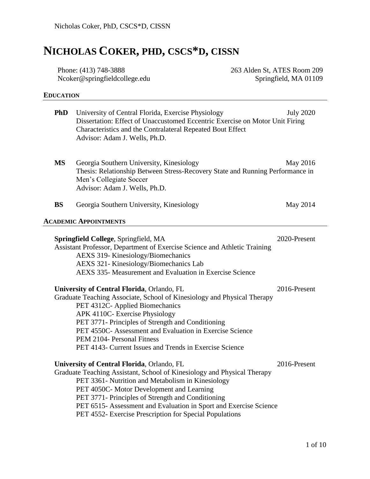# **NICHOLAS COKER, PHD, CSCS\*D, CISSN**

Phone: (413) 748-3888 Ncoker@springfieldcollege.edu 263 Alden St, ATES Room 209 Springfield, MA 01109

# **EDUCATION**

| <b>PhD</b> | University of Central Florida, Exercise Physiology<br>Dissertation: Effect of Unaccustomed Eccentric Exercise on Motor Unit Firing<br>Characteristics and the Contralateral Repeated Bout Effect<br>Advisor: Adam J. Wells, Ph.D.                                                                                                                                                                            | <b>July 2020</b> |
|------------|--------------------------------------------------------------------------------------------------------------------------------------------------------------------------------------------------------------------------------------------------------------------------------------------------------------------------------------------------------------------------------------------------------------|------------------|
| <b>MS</b>  | Georgia Southern University, Kinesiology<br>Thesis: Relationship Between Stress-Recovery State and Running Performance in<br>Men's Collegiate Soccer<br>Advisor: Adam J. Wells, Ph.D.                                                                                                                                                                                                                        | May 2016         |
| <b>BS</b>  | Georgia Southern University, Kinesiology                                                                                                                                                                                                                                                                                                                                                                     | May 2014         |
|            | <b>ACADEMIC APPOINTMENTS</b>                                                                                                                                                                                                                                                                                                                                                                                 |                  |
|            | Springfield College, Springfield, MA<br>Assistant Professor, Department of Exercise Science and Athletic Training<br><b>AEXS 319- Kinesiology/Biomechanics</b><br>AEXS 321- Kinesiology/Biomechanics Lab<br>AEXS 335- Measurement and Evaluation in Exercise Science                                                                                                                                         | 2020-Present     |
|            | University of Central Florida, Orlando, FL<br>Graduate Teaching Associate, School of Kinesiology and Physical Therapy<br>PET 4312C- Applied Biomechanics<br>APK 4110C- Exercise Physiology<br>PET 3771- Principles of Strength and Conditioning<br>PET 4550C- Assessment and Evaluation in Exercise Science<br>PEM 2104- Personal Fitness<br>PET 4143- Current Issues and Trends in Exercise Science         | 2016-Present     |
|            | University of Central Florida, Orlando, FL<br>Graduate Teaching Assistant, School of Kinesiology and Physical Therapy<br>PET 3361- Nutrition and Metabolism in Kinesiology<br>PET 4050C- Motor Development and Learning<br>PET 3771- Principles of Strength and Conditioning<br>PET 6515- Assessment and Evaluation in Sport and Exercise Science<br>PET 4552- Exercise Prescription for Special Populations | 2016-Present     |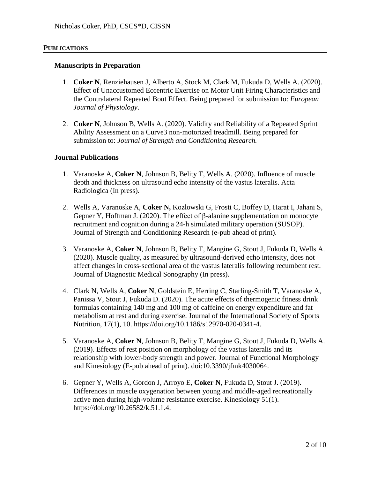### **PUBLICATIONS**

#### **Manuscripts in Preparation**

- 1. **Coker N**, Renziehausen J, Alberto A, Stock M, Clark M, Fukuda D, Wells A. (2020). Effect of Unaccustomed Eccentric Exercise on Motor Unit Firing Characteristics and the Contralateral Repeated Bout Effect. Being prepared for submission to: *European Journal of Physiology*.
- 2. **Coker N**, Johnson B, Wells A. (2020). Validity and Reliability of a Repeated Sprint Ability Assessment on a Curve3 non-motorized treadmill. Being prepared for submission to: *Journal of Strength and Conditioning Research.*

# **Journal Publications**

- 1. Varanoske A, **Coker N**, Johnson B, Belity T, Wells A. (2020). Influence of muscle depth and thickness on ultrasound echo intensity of the vastus lateralis. Acta Radiologica (In press).
- 2. Wells A, Varanoske A, **Coker N,** Kozlowski G, Frosti C, Boffey D, Harat I, Jahani S, Gepner Y, Hoffman J. (2020). The effect of  $\beta$ -alanine supplementation on monocyte recruitment and cognition during a 24-h simulated military operation (SUSOP). Journal of Strength and Conditioning Research (e-pub ahead of print).
- 3. Varanoske A, **Coker N**, Johnson B, Belity T, Mangine G, Stout J, Fukuda D, Wells A. (2020). Muscle quality, as measured by ultrasound-derived echo intensity, does not affect changes in cross-sectional area of the vastus lateralis following recumbent rest*.* Journal of Diagnostic Medical Sonography (In press).
- 4. Clark N, Wells A, **Coker N**, Goldstein E, Herring C, Starling-Smith T, Varanoske A, Panissa V, Stout J, Fukuda D. (2020). The acute effects of thermogenic fitness drink formulas containing 140 mg and 100 mg of caffeine on energy expenditure and fat metabolism at rest and during exercise. Journal of the International Society of Sports Nutrition, 17(1), 10. https://doi.org/10.1186/s12970-020-0341-4.
- 5. Varanoske A, **Coker N**, Johnson B, Belity T, Mangine G, Stout J, Fukuda D, Wells A. (2019). Effects of rest position on morphology of the vastus lateralis and its relationship with lower-body strength and power. Journal of Functional Morphology and Kinesiology (E-pub ahead of print). doi:10.3390/jfmk4030064.
- 6. Gepner Y, Wells A, Gordon J, Arroyo E, **Coker N**, Fukuda D, Stout J. (2019). Differences in muscle oxygenation between young and middle-aged recreationally active men during high-volume resistance exercise. Kinesiology 51(1). https://doi.org/10.26582/k.51.1.4.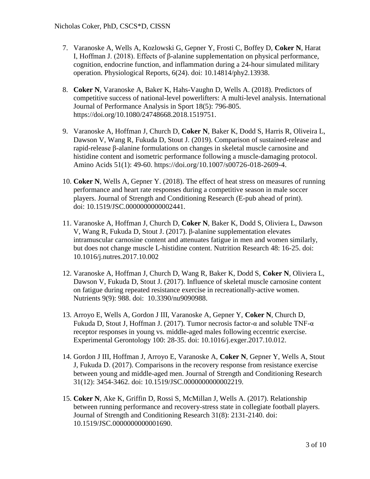- 7. Varanoske A, Wells A, Kozlowski G, Gepner Y, Frosti C, Boffey D, **Coker N**, Harat I, Hoffman J. (2018). Effects of β-alanine supplementation on physical performance, cognition, endocrine function, and inflammation during a 24-hour simulated military operation. Physiological Reports, 6(24). doi: 10.14814/phy2.13938.
- 8. **Coker N**, Varanoske A, Baker K, Hahs-Vaughn D, Wells A. (2018). Predictors of competitive success of national-level powerlifters: A multi-level analysis. International Journal of Performance Analysis in Sport 18(5): 796-805. https://doi.org/10.1080/24748668.2018.1519751.
- 9. Varanoske A, Hoffman J, Church D, **Coker N**, Baker K, Dodd S, Harris R, Oliveira L, Dawson V, Wang R, Fukuda D, Stout J. (2019). Comparison of sustained-release and rapid-release β-alanine formulations on changes in skeletal muscle carnosine and histidine content and isometric performance following a muscle-damaging protocol. Amino Acids 51(1): 49-60. https://doi.org/10.1007/s00726-018-2609-4.
- 10. **Coker N**, Wells A, Gepner Y. (2018). The effect of heat stress on measures of running performance and heart rate responses during a competitive season in male soccer players. Journal of Strength and Conditioning Research (E-pub ahead of print). doi: 10.1519/JSC.0000000000002441.
- 11. Varanoske A, Hoffman J, Church D, **Coker N**, Baker K, Dodd S, Oliviera L, Dawson V, Wang R, Fukuda D, Stout J. (2017). β-alanine supplementation elevates intramuscular carnosine content and attenuates fatigue in men and women similarly, but does not change muscle L-histidine content. Nutrition Research 48: 16-25. doi: 10.1016/j.nutres.2017.10.002
- 12. Varanoske A, Hoffman J, Church D, Wang R, Baker K, Dodd S, **Coker N**, Oliviera L, Dawson V, Fukuda D, Stout J. (2017). Influence of skeletal muscle carnosine content on fatigue during repeated resistance exercise in recreationally-active women. Nutrients 9(9): 988. doi: 10.3390/nu9090988.
- 13. Arroyo E, Wells A, Gordon J III, Varanoske A, Gepner Y, **Coker N**, Church D, Fukuda D, Stout J, Hoffman J. (2017). Tumor necrosis factor-α and soluble TNF-α receptor responses in young vs. middle-aged males following eccentric exercise. Experimental Gerontology 100: 28-35. doi: 10.1016/j.exger.2017.10.012.
- 14. Gordon J III, Hoffman J, Arroyo E, Varanoske A, **Coker N**, Gepner Y, Wells A, Stout J, Fukuda D. (2017). Comparisons in the recovery response from resistance exercise between young and middle-aged men. Journal of Strength and Conditioning Research 31(12): 3454-3462. doi: 10.1519/JSC.0000000000002219.
- 15. **Coker N**, Ake K, Griffin D, Rossi S, McMillan J, Wells A. (2017). Relationship between running performance and recovery-stress state in collegiate football players. Journal of Strength and Conditioning Research 31(8): 2131-2140. doi: 10.1519/JSC.0000000000001690.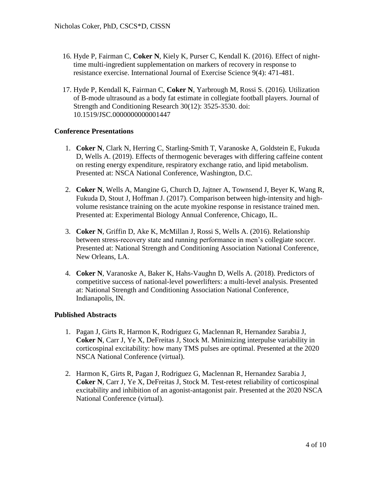- 16. Hyde P, Fairman C, **Coker N**, Kiely K, Purser C, Kendall K. (2016). Effect of nighttime multi-ingredient supplementation on markers of recovery in response to resistance exercise. International Journal of Exercise Science 9(4): 471-481.
- 17. Hyde P, Kendall K, Fairman C, **Coker N**, Yarbrough M, Rossi S. (2016). Utilization of B-mode ultrasound as a body fat estimate in collegiate football players. Journal of Strength and Conditioning Research 30(12): 3525-3530. doi: 10.1519/JSC.0000000000001447

# **Conference Presentations**

- 1. **Coker N**, Clark N, Herring C, Starling-Smith T, Varanoske A, Goldstein E, Fukuda D, Wells A. (2019). Effects of thermogenic beverages with differing caffeine content on resting energy expenditure, respiratory exchange ratio, and lipid metabolism. Presented at: NSCA National Conference, Washington, D.C.
- 2. **Coker N**, Wells A, Mangine G, Church D, Jajtner A, Townsend J, Beyer K, Wang R, Fukuda D, Stout J, Hoffman J. (2017). Comparison between high-intensity and highvolume resistance training on the acute myokine response in resistance trained men. Presented at: Experimental Biology Annual Conference, Chicago, IL.
- 3. **Coker N**, Griffin D, Ake K, McMillan J, Rossi S, Wells A. (2016). Relationship between stress-recovery state and running performance in men's collegiate soccer. Presented at: National Strength and Conditioning Association National Conference, New Orleans, LA.
- 4. **Coker N**, Varanoske A, Baker K, Hahs-Vaughn D, Wells A. (2018). Predictors of competitive success of national-level powerlifters: a multi-level analysis. Presented at: National Strength and Conditioning Association National Conference, Indianapolis, IN.

#### **Published Abstracts**

- 1. Pagan J, Girts R, Harmon K, Rodriguez G, Maclennan R, Hernandez Sarabia J, **Coker N**, Carr J, Ye X, DeFreitas J, Stock M. Minimizing interpulse variability in corticospinal excitability: how many TMS pulses are optimal. Presented at the 2020 NSCA National Conference (virtual).
- 2. Harmon K, Girts R, Pagan J, Rodriguez G, Maclennan R, Hernandez Sarabia J, **Coker N**, Carr J, Ye X, DeFreitas J, Stock M. Test-retest reliability of corticospinal excitability and inhibition of an agonist-antagonist pair. Presented at the 2020 NSCA National Conference (virtual).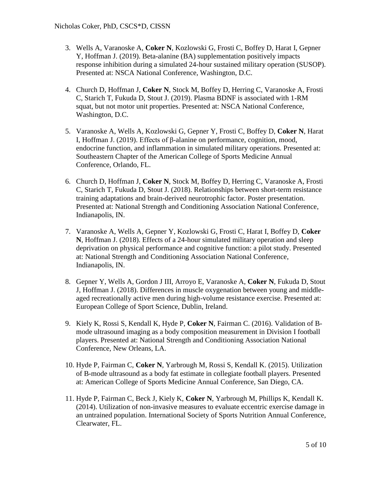- 3. Wells A, Varanoske A, **Coker N**, Kozlowski G, Frosti C, Boffey D, Harat I, Gepner Y, Hoffman J. (2019). Beta-alanine (BA) supplementation positively impacts response inhibition during a simulated 24-hour sustained military operation (SUSOP). Presented at: NSCA National Conference, Washington, D.C.
- 4. Church D, Hoffman J, **Coker N**, Stock M, Boffey D, Herring C, Varanoske A, Frosti C, Starich T, Fukuda D, Stout J. (2019). Plasma BDNF is associated with 1-RM squat, but not motor unit properties. Presented at: NSCA National Conference, Washington, D.C.
- 5. Varanoske A, Wells A, Kozlowski G, Gepner Y, Frosti C, Boffey D, **Coker N**, Harat I, Hoffman J. (2019). Effects of β-alanine on performance, cognition, mood, endocrine function, and inflammation in simulated military operations. Presented at: Southeastern Chapter of the American College of Sports Medicine Annual Conference, Orlando, FL.
- 6. Church D, Hoffman J, **Coker N**, Stock M, Boffey D, Herring C, Varanoske A, Frosti C, Starich T, Fukuda D, Stout J. (2018). Relationships between short-term resistance training adaptations and brain-derived neurotrophic factor. Poster presentation. Presented at: National Strength and Conditioning Association National Conference, Indianapolis, IN.
- 7. Varanoske A, Wells A, Gepner Y, Kozlowski G, Frosti C, Harat I, Boffey D, **Coker N**, Hoffman J. (2018). Effects of a 24-hour simulated military operation and sleep deprivation on physical performance and cognitive function: a pilot study. Presented at: National Strength and Conditioning Association National Conference, Indianapolis, IN.
- 8. Gepner Y, Wells A, Gordon J III, Arroyo E, Varanoske A, **Coker N**, Fukuda D, Stout J, Hoffman J. (2018). Differences in muscle oxygenation between young and middleaged recreationally active men during high-volume resistance exercise. Presented at: European College of Sport Science, Dublin, Ireland.
- 9. Kiely K, Rossi S, Kendall K, Hyde P, **Coker N**, Fairman C. (2016). Validation of Bmode ultrasound imaging as a body composition measurement in Division I football players. Presented at: National Strength and Conditioning Association National Conference, New Orleans, LA.
- 10. Hyde P, Fairman C, **Coker N**, Yarbrough M, Rossi S, Kendall K. (2015). Utilization of B-mode ultrasound as a body fat estimate in collegiate football players. Presented at: American College of Sports Medicine Annual Conference, San Diego, CA.
- 11. Hyde P, Fairman C, Beck J, Kiely K, **Coker N**, Yarbrough M, Phillips K, Kendall K. (2014). Utilization of non-invasive measures to evaluate eccentric exercise damage in an untrained population. International Society of Sports Nutrition Annual Conference, Clearwater, FL.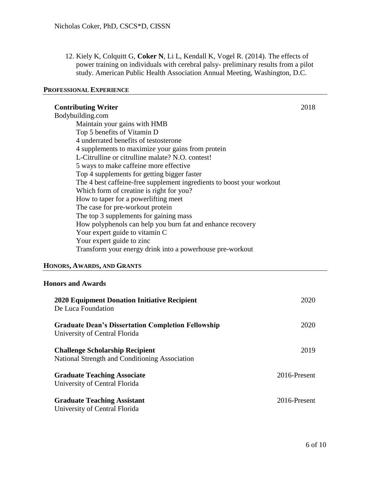12. Kiely K, Colquitt G, **Coker N**, Li L, Kendall K, Vogel R. (2014). The effects of power training on individuals with cerebral palsy- preliminary results from a pilot study. American Public Health Association Annual Meeting, Washington, D.C.

#### **PROFESSIONAL EXPERIENCE**

| <b>Contributing Writer</b>                                            |  |
|-----------------------------------------------------------------------|--|
| Bodybuilding.com                                                      |  |
| Maintain your gains with HMB                                          |  |
| Top 5 benefits of Vitamin D                                           |  |
| 4 underrated benefits of testosterone                                 |  |
| 4 supplements to maximize your gains from protein                     |  |
| L-Citrulline or citrulline malate? N.O. contest!                      |  |
| 5 ways to make caffeine more effective                                |  |
| Top 4 supplements for getting bigger faster                           |  |
| The 4 best caffeine-free supplement ingredients to boost your workout |  |
| Which form of creatine is right for you?                              |  |
| How to taper for a powerlifting meet                                  |  |
| The case for pre-workout protein                                      |  |
| The top 3 supplements for gaining mass                                |  |
| How polyphenols can help you burn fat and enhance recovery            |  |
| Your expert guide to vitamin C                                        |  |
| Your expert guide to zinc                                             |  |
| Transform your energy drink into a powerhouse pre-workout             |  |
| HONORS, AWARDS, AND GRANTS                                            |  |

# **Honors and Awards**

| 2020 Equipment Donation Initiative Recipient<br>De Luca Foundation                         | 2020         |
|--------------------------------------------------------------------------------------------|--------------|
| <b>Graduate Dean's Dissertation Completion Fellowship</b><br>University of Central Florida | 2020         |
| <b>Challenge Scholarship Recipient</b><br>National Strength and Conditioning Association   | 2019         |
| <b>Graduate Teaching Associate</b><br>University of Central Florida                        | 2016-Present |
| <b>Graduate Teaching Assistant</b><br>University of Central Florida                        | 2016-Present |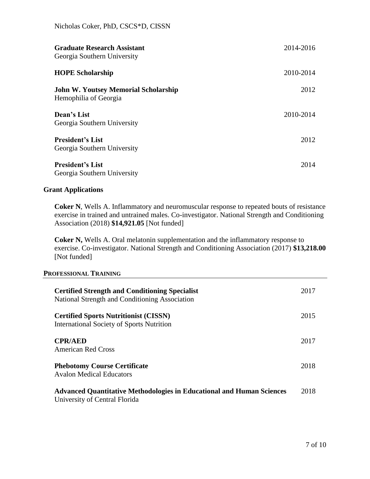| <b>Graduate Research Assistant</b><br>Georgia Southern University    | 2014-2016 |
|----------------------------------------------------------------------|-----------|
| <b>HOPE Scholarship</b>                                              | 2010-2014 |
| <b>John W. Youtsey Memorial Scholarship</b><br>Hemophilia of Georgia | 2012      |
| Dean's List<br>Georgia Southern University                           | 2010-2014 |
| <b>President's List</b><br>Georgia Southern University               | 2012      |
| <b>President's List</b><br>Georgia Southern University               | 2014      |

# **Grant Applications**

**Coker N**, Wells A. Inflammatory and neuromuscular response to repeated bouts of resistance exercise in trained and untrained males. Co-investigator. National Strength and Conditioning Association (2018) **\$14,921.05** [Not funded]

**Coker N,** Wells A. Oral melatonin supplementation and the inflammatory response to exercise. Co-investigator. National Strength and Conditioning Association (2017) **\$13,218.00** [Not funded]

### **PROFESSIONAL TRAINING**

| <b>Certified Strength and Conditioning Specialist</b><br>National Strength and Conditioning Association       |      |
|---------------------------------------------------------------------------------------------------------------|------|
| <b>Certified Sports Nutritionist (CISSN)</b><br><b>International Society of Sports Nutrition</b>              | 2015 |
| <b>CPR/AED</b><br><b>American Red Cross</b>                                                                   | 2017 |
| <b>Phebotomy Course Certificate</b><br><b>Avalon Medical Educators</b>                                        | 2018 |
| <b>Advanced Quantitative Methodologies in Educational and Human Sciences</b><br>University of Central Florida | 2018 |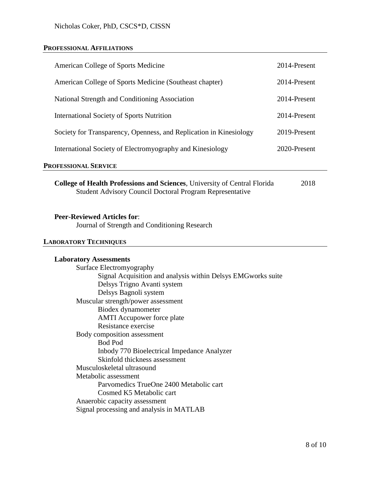# **PROFESSIONAL AFFILIATIONS**

| American College of Sports Medicine                                                                                                                      | 2014-Present |  |  |  |
|----------------------------------------------------------------------------------------------------------------------------------------------------------|--------------|--|--|--|
| American College of Sports Medicine (Southeast chapter)                                                                                                  | 2014-Present |  |  |  |
| National Strength and Conditioning Association                                                                                                           | 2014-Present |  |  |  |
| <b>International Society of Sports Nutrition</b>                                                                                                         | 2014-Present |  |  |  |
| Society for Transparency, Openness, and Replication in Kinesiology                                                                                       | 2019-Present |  |  |  |
| International Society of Electromyography and Kinesiology                                                                                                | 2020-Present |  |  |  |
| PROFESSIONAL SERVICE                                                                                                                                     |              |  |  |  |
| College of Health Professions and Sciences, University of Central Florida<br><b>Student Advisory Council Doctoral Program Representative</b>             | 2018         |  |  |  |
| <b>Peer-Reviewed Articles for:</b><br>Journal of Strength and Conditioning Research                                                                      |              |  |  |  |
| <b>LABORATORY TECHNIQUES</b>                                                                                                                             |              |  |  |  |
| <b>Laboratory Assessments</b><br>Surface Electromyography<br>Signal Acquisition and analysis within Delsys EMGworks suite<br>Delsys Trigno Avanti system |              |  |  |  |

| Delsys Trigno Avanti system                 |
|---------------------------------------------|
| Delsys Bagnoli system                       |
| Muscular strength/power assessment          |
| Biodex dynamometer                          |
| <b>AMTI</b> Accupower force plate           |
| Resistance exercise                         |
| Body composition assessment                 |
| <b>Bod Pod</b>                              |
| Inbody 770 Bioelectrical Impedance Analyzer |
| Skinfold thickness assessment               |
| Musculoskeletal ultrasound                  |
| Metabolic assessment                        |
| Parvomedics TrueOne 2400 Metabolic cart     |
| Cosmed K5 Metabolic cart                    |
| Anaerobic capacity assessment               |
| Signal processing and analysis in MATLAB    |
|                                             |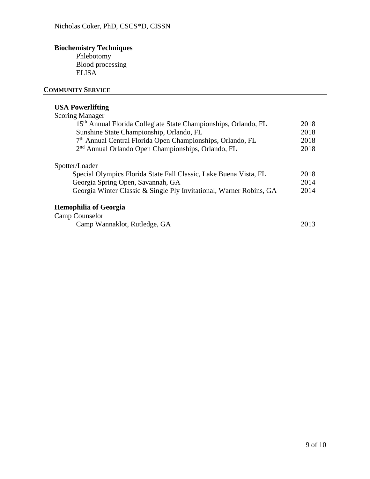# **Biochemistry Techniques**

Phlebotomy Blood processing **ELISA** 

# **COMMUNITY SERVICE**

# **USA Powerlifting**

| 2018<br>2018 |
|--------------|
|              |
|              |
|              |
| 2018         |
| 2018         |
|              |
| 2018         |
| 2014         |
| 2014         |
|              |
|              |
| 2013         |
|              |